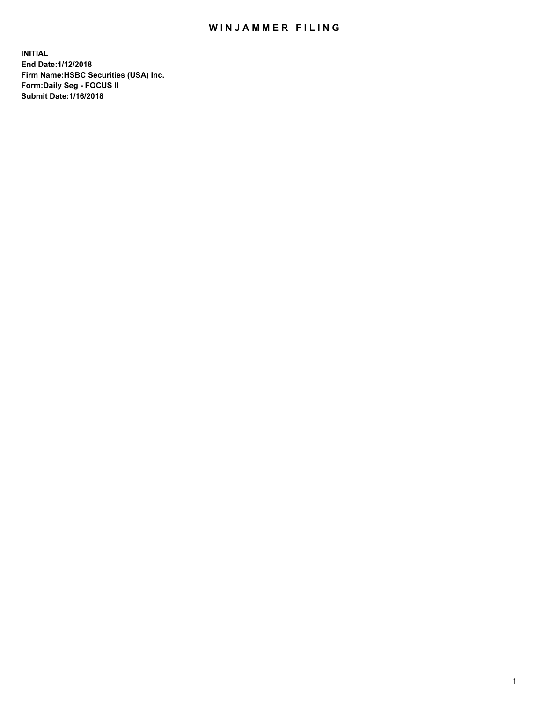## WIN JAMMER FILING

**INITIAL End Date:1/12/2018 Firm Name:HSBC Securities (USA) Inc. Form:Daily Seg - FOCUS II Submit Date:1/16/2018**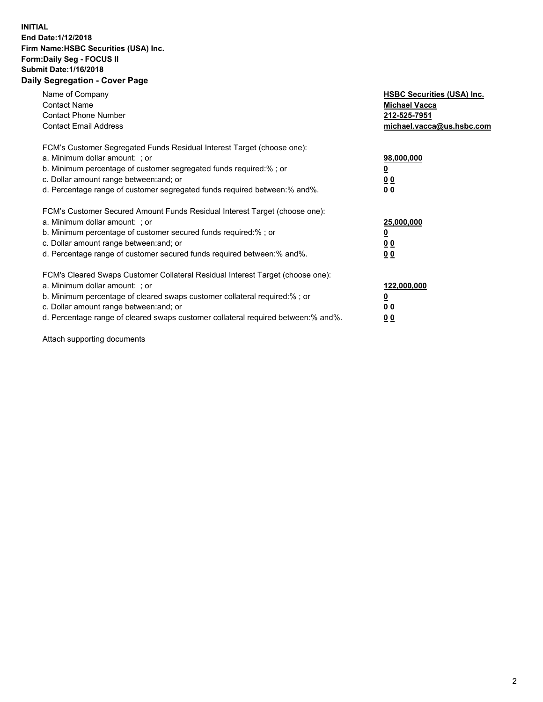## **INITIAL End Date:1/12/2018 Firm Name:HSBC Securities (USA) Inc. Form:Daily Seg - FOCUS II Submit Date:1/16/2018 Daily Segregation - Cover Page**

| Name of Company<br><b>Contact Name</b><br><b>Contact Phone Number</b><br><b>Contact Email Address</b>                                                                                                                                                                                                                         | <b>HSBC Securities (USA) Inc.</b><br><b>Michael Vacca</b><br>212-525-7951<br>michael.vacca@us.hsbc.com |
|-------------------------------------------------------------------------------------------------------------------------------------------------------------------------------------------------------------------------------------------------------------------------------------------------------------------------------|--------------------------------------------------------------------------------------------------------|
| FCM's Customer Segregated Funds Residual Interest Target (choose one):<br>a. Minimum dollar amount: ; or<br>b. Minimum percentage of customer segregated funds required:%; or<br>c. Dollar amount range between: and; or<br>d. Percentage range of customer segregated funds required between: % and %.                       | 98,000,000<br><u>0</u><br><u>00</u><br><u>00</u>                                                       |
| FCM's Customer Secured Amount Funds Residual Interest Target (choose one):<br>a. Minimum dollar amount: ; or<br>b. Minimum percentage of customer secured funds required:%; or<br>c. Dollar amount range between: and; or<br>d. Percentage range of customer secured funds required between: % and %.                         | 25,000,000<br><u>0</u><br><u>00</u><br>00                                                              |
| FCM's Cleared Swaps Customer Collateral Residual Interest Target (choose one):<br>a. Minimum dollar amount: ; or<br>b. Minimum percentage of cleared swaps customer collateral required:%; or<br>c. Dollar amount range between: and; or<br>d. Percentage range of cleared swaps customer collateral required between:% and%. | 122,000,000<br><u>0</u><br><u>00</u><br><u>00</u>                                                      |

Attach supporting documents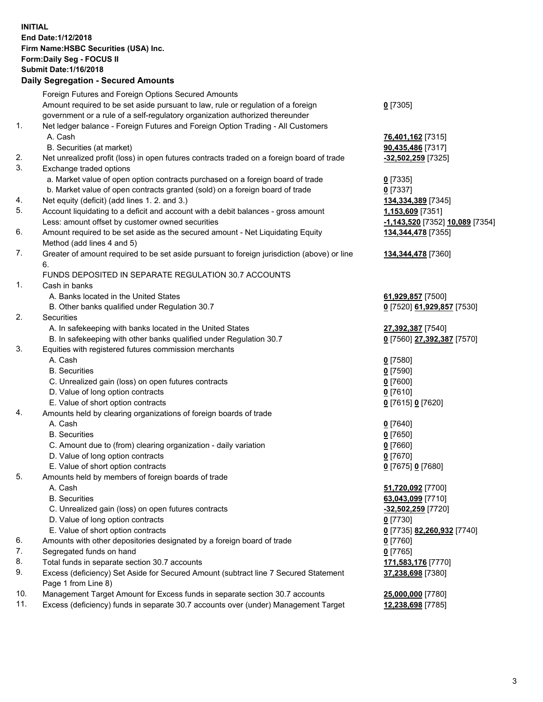**INITIAL End Date:1/12/2018 Firm Name:HSBC Securities (USA) Inc. Form:Daily Seg - FOCUS II Submit Date:1/16/2018 Daily Segregation - Secured Amounts**

Foreign Futures and Foreign Options Secured Amounts Amount required to be set aside pursuant to law, rule or regulation of a foreign government or a rule of a self-regulatory organization authorized thereunder **0** [7305] 1. Net ledger balance - Foreign Futures and Foreign Option Trading - All Customers A. Cash **76,401,162** [7315] B. Securities (at market) **90,435,486** [7317] 2. Net unrealized profit (loss) in open futures contracts traded on a foreign board of trade **-32,502,259** [7325] 3. Exchange traded options a. Market value of open option contracts purchased on a foreign board of trade **0** [7335] b. Market value of open contracts granted (sold) on a foreign board of trade **0** [7337] 4. Net equity (deficit) (add lines 1. 2. and 3.) **134,334,389** [7345] 5. Account liquidating to a deficit and account with a debit balances - gross amount **1,153,609** [7351] Less: amount offset by customer owned securities **-1,143,520** [7352] **10,089** [7354] 6. Amount required to be set aside as the secured amount - Net Liquidating Equity Method (add lines 4 and 5) **134,344,478** [7355] 7. Greater of amount required to be set aside pursuant to foreign jurisdiction (above) or line 6. **134,344,478** [7360] FUNDS DEPOSITED IN SEPARATE REGULATION 30.7 ACCOUNTS 1. Cash in banks A. Banks located in the United States **61,929,857** [7500] B. Other banks qualified under Regulation 30.7 **0** [7520] **61,929,857** [7530] 2. Securities A. In safekeeping with banks located in the United States **27,392,387** [7540] B. In safekeeping with other banks qualified under Regulation 30.7 **0** [7560] **27,392,387** [7570] 3. Equities with registered futures commission merchants A. Cash **0** [7580] B. Securities **0** [7590] C. Unrealized gain (loss) on open futures contracts **0** [7600] D. Value of long option contracts **0** [7610] E. Value of short option contracts **0** [7615] **0** [7620] 4. Amounts held by clearing organizations of foreign boards of trade A. Cash **0** [7640] B. Securities **0** [7650] C. Amount due to (from) clearing organization - daily variation **0** [7660] D. Value of long option contracts **0** [7670] E. Value of short option contracts **0** [7675] **0** [7680] 5. Amounts held by members of foreign boards of trade A. Cash **51,720,092** [7700] B. Securities **63,043,099** [7710] C. Unrealized gain (loss) on open futures contracts **-32,502,259** [7720] D. Value of long option contracts **0** [7730] E. Value of short option contracts **0** [7735] **82,260,932** [7740] 6. Amounts with other depositories designated by a foreign board of trade **0** [7760] 7. Segregated funds on hand **0** [7765] 8. Total funds in separate section 30.7 accounts **171,583,176** [7770] 9. Excess (deficiency) Set Aside for Secured Amount (subtract line 7 Secured Statement Page 1 from Line 8) **37,238,698** [7380] 10. Management Target Amount for Excess funds in separate section 30.7 accounts **25,000,000** [7780] 11. Excess (deficiency) funds in separate 30.7 accounts over (under) Management Target **12,238,698** [7785]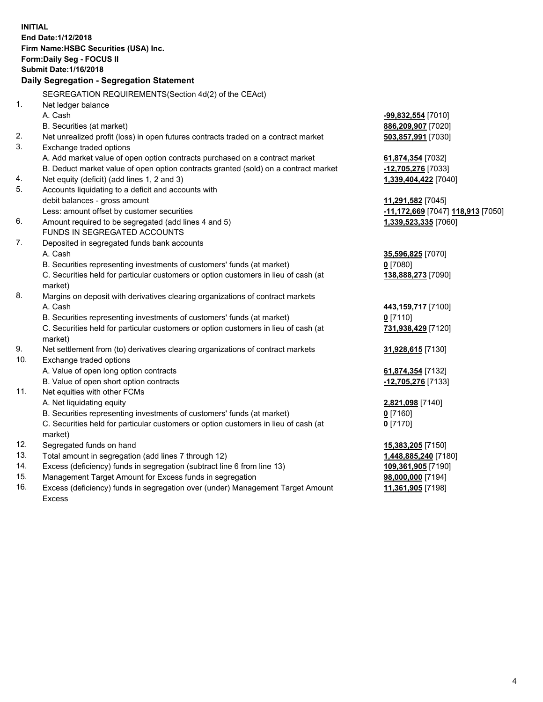**INITIAL End Date:1/12/2018 Firm Name:HSBC Securities (USA) Inc. Form:Daily Seg - FOCUS II Submit Date:1/16/2018 Daily Segregation - Segregation Statement** SEGREGATION REQUIREMENTS(Section 4d(2) of the CEAct) 1. Net ledger balance A. Cash **-99,832,554** [7010] B. Securities (at market) **886,209,907** [7020] 2. Net unrealized profit (loss) in open futures contracts traded on a contract market **503,857,991** [7030] 3. Exchange traded options A. Add market value of open option contracts purchased on a contract market **61,874,354** [7032] B. Deduct market value of open option contracts granted (sold) on a contract market **-12,705,276** [7033] 4. Net equity (deficit) (add lines 1, 2 and 3) **1,339,404,422** [7040] 5. Accounts liquidating to a deficit and accounts with debit balances - gross amount **11,291,582** [7045] Less: amount offset by customer securities **-11,172,669** [7047] **118,913** [7050] 6. Amount required to be segregated (add lines 4 and 5) **1,339,523,335** [7060] FUNDS IN SEGREGATED ACCOUNTS 7. Deposited in segregated funds bank accounts A. Cash **35,596,825** [7070] B. Securities representing investments of customers' funds (at market) **0** [7080] C. Securities held for particular customers or option customers in lieu of cash (at market) **138,888,273** [7090] 8. Margins on deposit with derivatives clearing organizations of contract markets A. Cash **443,159,717** [7100] B. Securities representing investments of customers' funds (at market) **0** [7110] C. Securities held for particular customers or option customers in lieu of cash (at market) **731,938,429** [7120] 9. Net settlement from (to) derivatives clearing organizations of contract markets **31,928,615** [7130] 10. Exchange traded options A. Value of open long option contracts **61,874,354** [7132] B. Value of open short option contracts **-12,705,276** [7133] 11. Net equities with other FCMs A. Net liquidating equity **2,821,098** [7140] B. Securities representing investments of customers' funds (at market) **0** [7160] C. Securities held for particular customers or option customers in lieu of cash (at market) **0** [7170] 12. Segregated funds on hand **15,383,205** [7150] 13. Total amount in segregation (add lines 7 through 12) **1,448,885,240** [7180] 14. Excess (deficiency) funds in segregation (subtract line 6 from line 13) **109,361,905** [7190] 15. Management Target Amount for Excess funds in segregation **98,000,000** [7194]

16. Excess (deficiency) funds in segregation over (under) Management Target Amount Excess

**11,361,905** [7198]